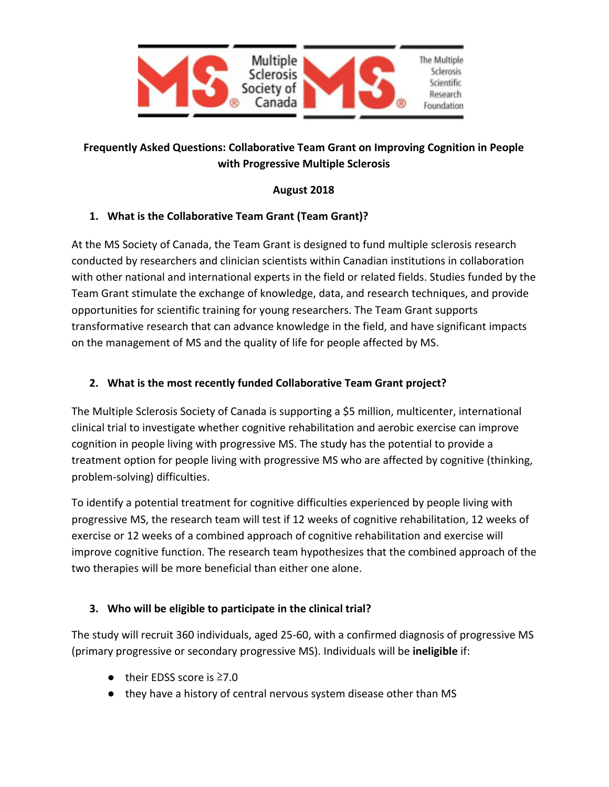

# **Frequently Asked Questions: Collaborative Team Grant on Improving Cognition in People with Progressive Multiple Sclerosis**

## **August 2018**

## **1. What is the Collaborative Team Grant (Team Grant)?**

At the MS Society of Canada, the Team Grant is designed to fund multiple sclerosis research conducted by researchers and clinician scientists within Canadian institutions in collaboration with other national and international experts in the field or related fields. Studies funded by the Team Grant stimulate the exchange of knowledge, data, and research techniques, and provide opportunities for scientific training for young researchers. The Team Grant supports transformative research that can advance knowledge in the field, and have significant impacts on the management of MS and the quality of life for people affected by MS.

## **2. What is the most recently funded Collaborative Team Grant project?**

The Multiple Sclerosis Society of Canada is supporting a \$5 million, multicenter, international clinical trial to investigate whether cognitive rehabilitation and aerobic exercise can improve cognition in people living with progressive MS. The study has the potential to provide a treatment option for people living with progressive MS who are affected by cognitive (thinking, problem-solving) difficulties.

To identify a potential treatment for cognitive difficulties experienced by people living with progressive MS, the research team will test if 12 weeks of cognitive rehabilitation, 12 weeks of exercise or 12 weeks of a combined approach of cognitive rehabilitation and exercise will improve cognitive function. The research team hypothesizes that the combined approach of the two therapies will be more beneficial than either one alone.

# **3. Who will be eligible to participate in the clinical trial?**

The study will recruit 360 individuals, aged 25-60, with a confirmed diagnosis of progressive MS (primary progressive or secondary progressive MS). Individuals will be **ineligible** if:

- their EDSS score is ≥7.0
- they have a history of central nervous system disease other than MS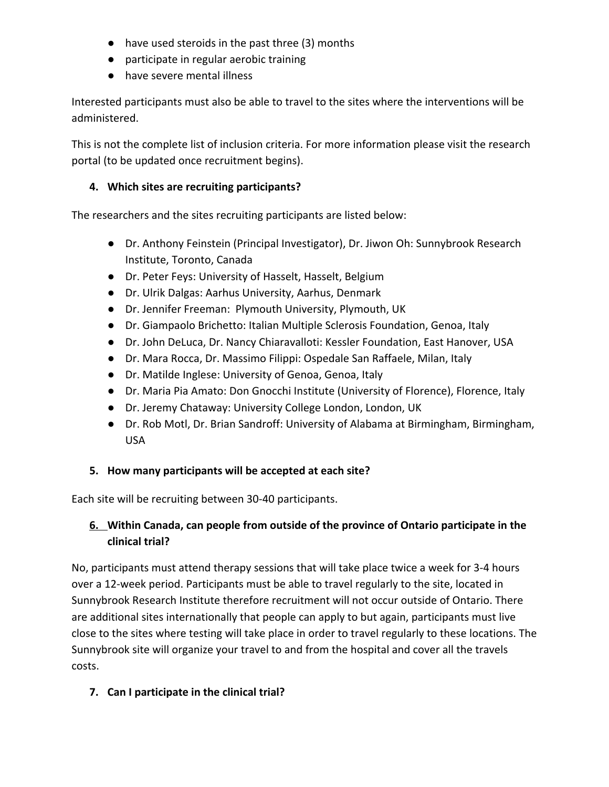- have used steroids in the past three (3) months
- participate in regular aerobic training
- have severe mental illness

Interested participants must also be able to travel to the sites where the interventions will be administered.

This is not the complete list of inclusion criteria. For more information please visit the research portal (to be updated once recruitment begins).

# **4. Which sites are recruiting participants?**

The researchers and the sites recruiting participants are listed below:

- Dr. Anthony Feinstein (Principal Investigator), Dr. Jiwon Oh: Sunnybrook Research Institute, Toronto, Canada
- Dr. Peter Feys: University of Hasselt, Hasselt, Belgium
- Dr. Ulrik Dalgas: Aarhus University, Aarhus, Denmark
- Dr. Jennifer Freeman: Plymouth University, Plymouth, UK
- Dr. Giampaolo Brichetto: Italian Multiple Sclerosis Foundation, Genoa, Italy
- Dr. John DeLuca, Dr. Nancy Chiaravalloti: Kessler Foundation, East Hanover, USA
- Dr. Mara Rocca, Dr. Massimo Filippi: Ospedale San Raffaele, Milan, Italy
- Dr. Matilde Inglese: University of Genoa, Genoa, Italy
- Dr. Maria Pia Amato: Don Gnocchi Institute (University of Florence), Florence, Italy
- Dr. Jeremy Chataway: University College London, London, UK
- Dr. Rob Motl, Dr. Brian Sandroff: University of Alabama at Birmingham, Birmingham, USA

# **5. How many participants will be accepted at each site?**

Each site will be recruiting between 30-40 participants.

# **6. Within Canada, can people from outside of the province of Ontario participate in the clinical trial?**

No, participants must attend therapy sessions that will take place twice a week for 3-4 hours over a 12-week period. Participants must be able to travel regularly to the site, located in Sunnybrook Research Institute therefore recruitment will not occur outside of Ontario. There are additional sites internationally that people can apply to but again, participants must live close to the sites where testing will take place in order to travel regularly to these locations. The Sunnybrook site will organize your travel to and from the hospital and cover all the travels costs.

# **7. Can I participate in the clinical trial?**